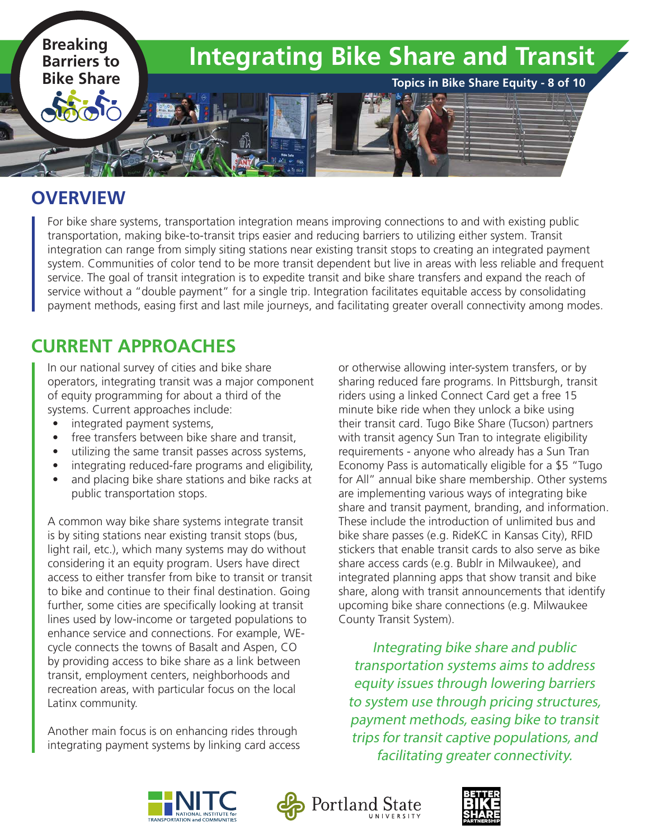

#### **OVERVIEW**

For bike share systems, transportation integration means improving connections to and with existing public transportation, making bike-to-transit trips easier and reducing barriers to utilizing either system. Transit integration can range from simply siting stations near existing transit stops to creating an integrated payment system. Communities of color tend to be more transit dependent but live in areas with less reliable and frequent service. The goal of transit integration is to expedite transit and bike share transfers and expand the reach of service without a "double payment" for a single trip. Integration facilitates equitable access by consolidating payment methods, easing first and last mile journeys, and facilitating greater overall connectivity among modes.

# **CURRENT APPROACHES**

In our national survey of cities and bike share operators, integrating transit was a major component of equity programming for about a third of the systems. Current approaches include:

- integrated payment systems,
- free transfers between bike share and transit,
- utilizing the same transit passes across systems,
- integrating reduced-fare programs and eligibility,
- and placing bike share stations and bike racks at public transportation stops.

A common way bike share systems integrate transit is by siting stations near existing transit stops (bus, light rail, etc.), which many systems may do without considering it an equity program. Users have direct access to either transfer from bike to transit or transit to bike and continue to their final destination. Going further, some cities are specifically looking at transit lines used by low-income or targeted populations to enhance service and connections. For example, WEcycle connects the towns of Basalt and Aspen, CO by providing access to bike share as a link between transit, employment centers, neighborhoods and recreation areas, with particular focus on the local Latinx community.

Another main focus is on enhancing rides through integrating payment systems by linking card access or otherwise allowing inter-system transfers, or by sharing reduced fare programs. In Pittsburgh, transit riders using a linked Connect Card get a free 15 minute bike ride when they unlock a bike using their transit card. Tugo Bike Share (Tucson) partners with transit agency Sun Tran to integrate eligibility requirements - anyone who already has a Sun Tran Economy Pass is automatically eligible for a \$5 "Tugo for All" annual bike share membership. Other systems are implementing various ways of integrating bike share and transit payment, branding, and information. These include the introduction of unlimited bus and bike share passes (e.g. RideKC in Kansas City), RFID stickers that enable transit cards to also serve as bike share access cards (e.g. Bublr in Milwaukee), and integrated planning apps that show transit and bike share, along with transit announcements that identify upcoming bike share connections (e.g. Milwaukee County Transit System).

Integrating bike share and public transportation systems aims to address equity issues through lowering barriers to system use through pricing structures, payment methods, easing bike to transit trips for transit captive populations, and facilitating greater connectivity.